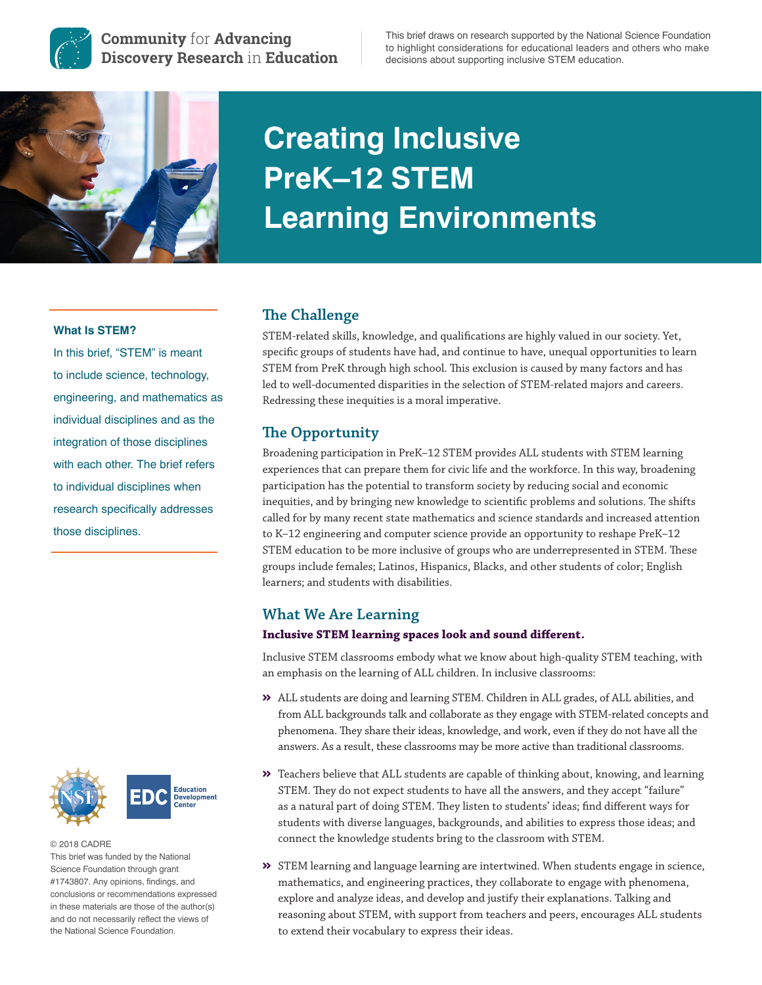

**Community** for **Advancing Discovery Research** in **Education** This brief draws on research supported by the National Science Foundation to highlight considerations for educational leaders and others who make decisions about supporting inclusive STEM education.



# **Creating Inclusive PreK–12 STEM Learning Environments**

## **What Is STEM?**

In this brief, "STEM" is meant to include science, technology, engineering, and mathematics as individual disciplines and as the integration of those disciplines with each other. The brief refers to individual disciplines when research specifically addresses those disciplines.





© 2018 CADRE This brief was funded by the National Science Foundation through grant #1743807. Any opinions, findings, and conclusions or recommendations expressed in these materials are those of the author(s) and do not necessarily reflect the views of the National Science Foundation.

# **The Challenge**

STEM-related skills, knowledge, and qualifications are highly valued in our society. Yet, specific groups of students have had, and continue to have, unequal opportunities to learn STEM from PreK through high school. This exclusion is caused by many factors and has led to well-documented disparities in the selection of STEM-related majors and careers. Redressing these inequities is a moral imperative.

# **The Opportunity**

Broadening participation in PreK–12 STEM provides ALL students with STEM learning experiences that can prepare them for civic life and the workforce. In this way, broadening participation has the potential to transform society by reducing social and economic inequities, and by bringing new knowledge to scientific problems and solutions. The shifts called for by many recent state mathematics and science standards and increased attention to K–12 engineering and computer science provide an opportunity to reshape PreK–12 STEM education to be more inclusive of groups who are underrepresented in STEM. These groups include females; Latinos, Hispanics, Blacks, and other students of color; English learners; and students with disabilities.

# **What We Are Learning**

## **Inclusive STEM learning spaces look and sound different.**

Inclusive STEM classrooms embody what we know about high-quality STEM teaching, with an emphasis on the learning of ALL children. In inclusive classrooms:

- ALL students are doing and learning STEM. Children in ALL grades, of ALL abilities, and from ALL backgrounds talk and collaborate as they engage with STEM-related concepts and phenomena. They share their ideas, knowledge, and work, even if they do not have all the answers. As a result, these classrooms may be more active than traditional classrooms.
- $\gg$  Teachers believe that ALL students are capable of thinking about, knowing, and learning STEM. They do not expect students to have all the answers, and they accept "failure" as a natural part of doing STEM. They listen to students' ideas; find different ways for students with diverse languages, backgrounds, and abilities to express those ideas; and connect the knowledge students bring to the classroom with STEM.
- STEM learning and language learning are intertwined. When students engage in science, mathematics, and engineering practices, they collaborate to engage with phenomena, explore and analyze ideas, and develop and justify their explanations. Talking and reasoning about STEM, with support from teachers and peers, encourages ALL students to extend their vocabulary to express their ideas.